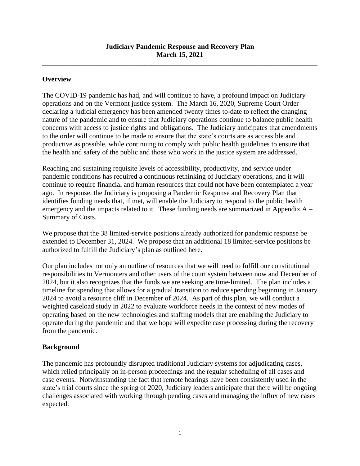\_\_\_\_\_\_\_\_\_\_\_\_\_\_\_\_\_\_\_\_\_\_\_\_\_\_\_\_\_\_\_\_\_\_\_\_\_\_\_\_\_\_\_\_\_\_\_\_\_\_\_\_\_\_\_\_\_\_\_\_\_\_\_\_\_\_\_\_\_\_\_\_\_\_\_\_\_\_

## **Overview**

The COVID-19 pandemic has had, and will continue to have, a profound impact on Judiciary operations and on the Vermont justice system. The March 16, 2020, Supreme Court Order declaring a judicial emergency has been amended twenty times to-date to reflect the changing nature of the pandemic and to ensure that Judiciary operations continue to balance public health concerns with access to justice rights and obligations. The Judiciary anticipates that amendments to the order will continue to be made to ensure that the state's courts are as accessible and productive as possible, while continuing to comply with public health guidelines to ensure that the health and safety of the public and those who work in the justice system are addressed.

Reaching and sustaining requisite levels of accessibility, productivity, and service under pandemic conditions has required a continuous rethinking of Judiciary operations, and it will continue to require financial and human resources that could not have been contemplated a year ago. In response, the Judiciary is proposing a Pandemic Response and Recovery Plan that identifies funding needs that, if met, will enable the Judiciary to respond to the public health emergency and the impacts related to it. These funding needs are summarized in Appendix A – Summary of Costs.

We propose that the 38 limited-service positions already authorized for pandemic response be extended to December 31, 2024. We propose that an additional 18 limited-service positions be authorized to fulfill the Judiciary's plan as outlined here.

Our plan includes not only an outline of resources that we will need to fulfill our constitutional responsibilities to Vermonters and other users of the court system between now and December of 2024, but it also recognizes that the funds we are seeking are time-limited. The plan includes a timeline for spending that allows for a gradual transition to reduce spending beginning in January 2024 to avoid a resource cliff in December of 2024. As part of this plan, we will conduct a weighted caseload study in 2022 to evaluate workforce needs in the context of new modes of operating based on the new technologies and staffing models that are enabling the Judiciary to operate during the pandemic and that we hope will expedite case processing during the recovery from the pandemic.

## **Background**

The pandemic has profoundly disrupted traditional Judiciary systems for adjudicating cases, which relied principally on in-person proceedings and the regular scheduling of all cases and case events. Notwithstanding the fact that remote hearings have been consistently used in the state's trial courts since the spring of 2020, Judiciary leaders anticipate that there will be ongoing challenges associated with working through pending cases and managing the influx of new cases expected.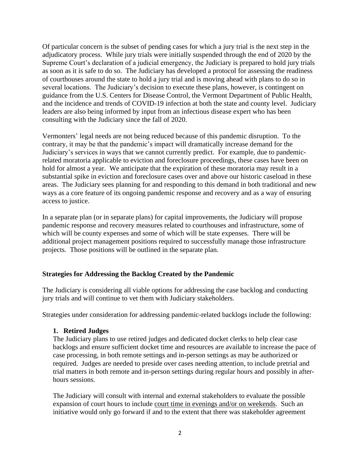Of particular concern is the subset of pending cases for which a jury trial is the next step in the adjudicatory process. While jury trials were initially suspended through the end of 2020 by the Supreme Court's declaration of a judicial emergency, the Judiciary is prepared to hold jury trials as soon as it is safe to do so. The Judiciary has developed a protocol for assessing the readiness of courthouses around the state to hold a jury trial and is moving ahead with plans to do so in several locations. The Judiciary's decision to execute these plans, however, is contingent on guidance from the U.S. Centers for Disease Control, the Vermont Department of Public Health, and the incidence and trends of COVID-19 infection at both the state and county level. Judiciary leaders are also being informed by input from an infectious disease expert who has been consulting with the Judiciary since the fall of 2020.

Vermonters' legal needs are not being reduced because of this pandemic disruption. To the contrary, it may be that the pandemic's impact will dramatically increase demand for the Judiciary's services in ways that we cannot currently predict. For example, due to pandemicrelated moratoria applicable to eviction and foreclosure proceedings, these cases have been on hold for almost a year. We anticipate that the expiration of these moratoria may result in a substantial spike in eviction and foreclosure cases over and above our historic caseload in these areas. The Judiciary sees planning for and responding to this demand in both traditional and new ways as a core feature of its ongoing pandemic response and recovery and as a way of ensuring access to justice.

In a separate plan (or in separate plans) for capital improvements, the Judiciary will propose pandemic response and recovery measures related to courthouses and infrastructure, some of which will be county expenses and some of which will be state expenses. There will be additional project management positions required to successfully manage those infrastructure projects. Those positions will be outlined in the separate plan.

## **Strategies for Addressing the Backlog Created by the Pandemic**

The Judiciary is considering all viable options for addressing the case backlog and conducting jury trials and will continue to vet them with Judiciary stakeholders.

Strategies under consideration for addressing pandemic-related backlogs include the following:

#### **1. Retired Judges**

The Judiciary plans to use retired judges and dedicated docket clerks to help clear case backlogs and ensure sufficient docket time and resources are available to increase the pace of case processing, in both remote settings and in-person settings as may be authorized or required. Judges are needed to preside over cases needing attention, to include pretrial and trial matters in both remote and in-person settings during regular hours and possibly in afterhours sessions.

The Judiciary will consult with internal and external stakeholders to evaluate the possible expansion of court hours to include court time in evenings and/or on weekends. Such an initiative would only go forward if and to the extent that there was stakeholder agreement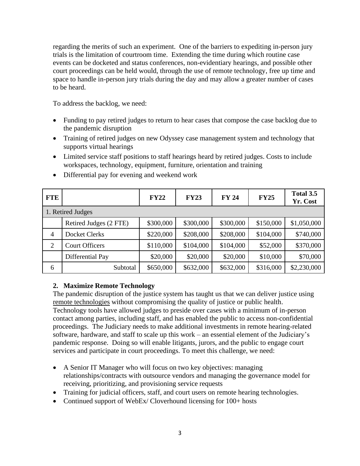regarding the merits of such an experiment. One of the barriers to expediting in-person jury trials is the limitation of courtroom time. Extending the time during which routine case events can be docketed and status conferences, non-evidentiary hearings, and possible other court proceedings can be held would, through the use of remote technology, free up time and space to handle in-person jury trials during the day and may allow a greater number of cases to be heard.

To address the backlog, we need:

- Funding to pay retired judges to return to hear cases that compose the case backlog due to the pandemic disruption
- Training of retired judges on new Odyssey case management system and technology that supports virtual hearings
- Limited service staff positions to staff hearings heard by retired judges. Costs to include workspaces, technology, equipment, furniture, orientation and training

| <b>FTE</b>     |                        | <b>FY22</b> | <b>FY23</b> | <b>FY 24</b> | <b>FY25</b> | Total 3.5<br>Yr. Cost |
|----------------|------------------------|-------------|-------------|--------------|-------------|-----------------------|
|                | 1. Retired Judges      |             |             |              |             |                       |
|                | Retired Judges (2 FTE) | \$300,000   | \$300,000   | \$300,000    | \$150,000   | \$1,050,000           |
| $\overline{4}$ | <b>Docket Clerks</b>   | \$220,000   | \$208,000   | \$208,000    | \$104,000   | \$740,000             |
| $\overline{2}$ | <b>Court Officers</b>  | \$110,000   | \$104,000   | \$104,000    | \$52,000    | \$370,000             |
|                | Differential Pay       | \$20,000    | \$20,000    | \$20,000     | \$10,000    | \$70,000              |
| 6              | Subtotal               | \$650,000   | \$632,000   | \$632,000    | \$316,000   | \$2,230,000           |

• Differential pay for evening and weekend work

## **2. Maximize Remote Technology**

The pandemic disruption of the justice system has taught us that we can deliver justice using remote technologies without compromising the quality of justice or public health. Technology tools have allowed judges to preside over cases with a minimum of in-person contact among parties, including staff, and has enabled the public to access non-confidential proceedings. The Judiciary needs to make additional investments in remote hearing-related software, hardware, and staff to scale up this work – an essential element of the Judiciary's pandemic response. Doing so will enable litigants, jurors, and the public to engage court services and participate in court proceedings. To meet this challenge, we need:

- A Senior IT Manager who will focus on two key objectives: managing relationships/contracts with outsource vendors and managing the governance model for receiving, prioritizing, and provisioning service requests
- Training for judicial officers, staff, and court users on remote hearing technologies.
- Continued support of WebEx/Cloverhound licensing for 100+ hosts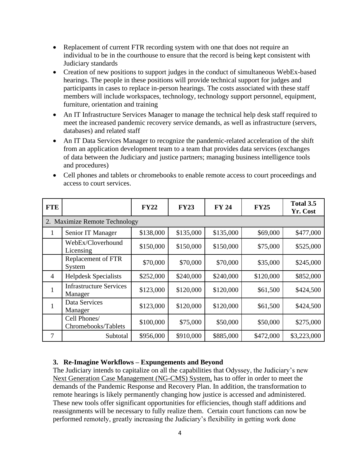- Replacement of current FTR recording system with one that does not require an individual to be in the courthouse to ensure that the record is being kept consistent with Judiciary standards
- Creation of new positions to support judges in the conduct of simultaneous WebEx-based hearings. The people in these positions will provide technical support for judges and participants in cases to replace in-person hearings. The costs associated with these staff members will include workspaces, technology, technology support personnel, equipment, furniture, orientation and training
- An IT Infrastructure Services Manager to manage the technical help desk staff required to meet the increased pandemic recovery service demands, as well as infrastructure (servers, databases) and related staff
- An IT Data Services Manager to recognize the pandemic-related acceleration of the shift from an application development team to a team that provides data services (exchanges of data between the Judiciary and justice partners; managing business intelligence tools and procedures)

| <b>FTE</b>     |                                           | <b>FY22</b> | <b>FY23</b> | <b>FY 24</b> | <b>FY25</b> | Total 3.5<br>Yr. Cost |  |  |
|----------------|-------------------------------------------|-------------|-------------|--------------|-------------|-----------------------|--|--|
| 2.             | <b>Maximize Remote Technology</b>         |             |             |              |             |                       |  |  |
| 1              | Senior IT Manager                         | \$138,000   | \$135,000   | \$135,000    | \$69,000    | \$477,000             |  |  |
|                | WebEx/Cloverhound<br>Licensing            | \$150,000   | \$150,000   | \$150,000    | \$75,000    | \$525,000             |  |  |
|                | Replacement of FTR<br>System              | \$70,000    | \$70,000    | \$70,000     | \$35,000    | \$245,000             |  |  |
| $\overline{4}$ | <b>Helpdesk Specialists</b>               | \$252,000   | \$240,000   | \$240,000    | \$120,000   | \$852,000             |  |  |
| $\mathbf{1}$   | <b>Infrastructure Services</b><br>Manager | \$123,000   | \$120,000   | \$120,000    | \$61,500    | \$424,500             |  |  |
| 1              | Data Services<br>Manager                  | \$123,000   | \$120,000   | \$120,000    | \$61,500    | \$424,500             |  |  |
|                | Cell Phones/<br>Chromebooks/Tablets       | \$100,000   | \$75,000    | \$50,000     | \$50,000    | \$275,000             |  |  |
| $\tau$         | Subtotal                                  | \$956,000   | \$910,000   | \$885,000    | \$472,000   | \$3,223,000           |  |  |

• Cell phones and tablets or chromebooks to enable remote access to court proceedings and access to court services.

## **3. Re-Imagine Workflows – Expungements and Beyond**

The Judiciary intends to capitalize on all the capabilities that Odyssey, the Judiciary's new Next Generation Case Management (NG-CMS) System, has to offer in order to meet the demands of the Pandemic Response and Recovery Plan. In addition, the transformation to remote hearings is likely permanently changing how justice is accessed and administered. These new tools offer significant opportunities for efficiencies, though staff additions and reassignments will be necessary to fully realize them. Certain court functions can now be performed remotely, greatly increasing the Judiciary's flexibility in getting work done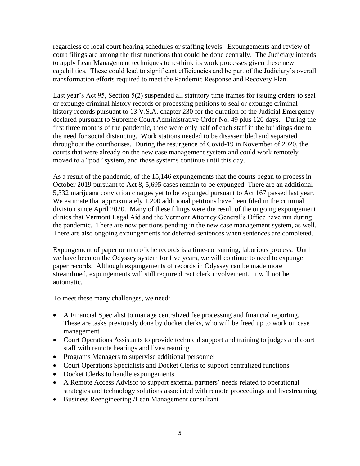regardless of local court hearing schedules or staffing levels. Expungements and review of court filings are among the first functions that could be done centrally. The Judiciary intends to apply Lean Management techniques to re-think its work processes given these new capabilities. These could lead to significant efficiencies and be part of the Judiciary's overall transformation efforts required to meet the Pandemic Response and Recovery Plan.

Last year's Act 95, Section 5(2) suspended all statutory time frames for issuing orders to seal or expunge criminal history records or processing petitions to seal or expunge criminal history records pursuant to 13 V.S.A. chapter 230 for the duration of the Judicial Emergency declared pursuant to Supreme Court Administrative Order No. 49 plus 120 days. During the first three months of the pandemic, there were only half of each staff in the buildings due to the need for social distancing. Work stations needed to be disassembled and separated throughout the courthouses. During the resurgence of Covid-19 in November of 2020, the courts that were already on the new case management system and could work remotely moved to a "pod" system, and those systems continue until this day.

As a result of the pandemic, of the 15,146 expungements that the courts began to process in October 2019 pursuant to Act 8, 5,695 cases remain to be expunged. There are an additional 5,332 marijuana conviction charges yet to be expunged pursuant to Act 167 passed last year. We estimate that approximately 1,200 additional petitions have been filed in the criminal division since April 2020. Many of these filings were the result of the ongoing expungement clinics that Vermont Legal Aid and the Vermont Attorney General's Office have run during the pandemic. There are now petitions pending in the new case management system, as well. There are also ongoing expungements for deferred sentences when sentences are completed.

Expungement of paper or microfiche records is a time-consuming, laborious process. Until we have been on the Odyssey system for five years, we will continue to need to expunge paper records. Although expungements of records in Odyssey can be made more streamlined, expungements will still require direct clerk involvement. It will not be automatic.

To meet these many challenges, we need:

- A Financial Specialist to manage centralized fee processing and financial reporting. These are tasks previously done by docket clerks, who will be freed up to work on case management
- Court Operations Assistants to provide technical support and training to judges and court staff with remote hearings and livestreaming
- Programs Managers to supervise additional personnel
- Court Operations Specialists and Docket Clerks to support centralized functions
- Docket Clerks to handle expungements
- A Remote Access Advisor to support external partners' needs related to operational strategies and technology solutions associated with remote proceedings and livestreaming
- Business Reengineering /Lean Management consultant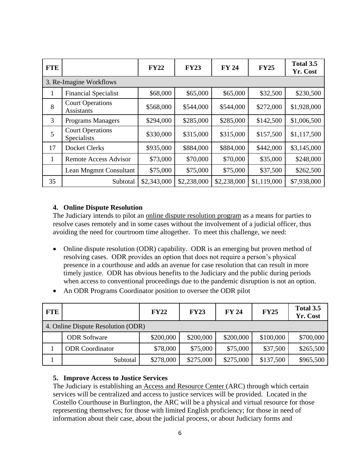| <b>FTE</b> |                                              | <b>FY22</b> | <b>FY23</b> | <b>FY 24</b> | <b>FY25</b> | Total 3.5<br>Yr. Cost |  |  |
|------------|----------------------------------------------|-------------|-------------|--------------|-------------|-----------------------|--|--|
|            | 3. Re-Imagine Workflows                      |             |             |              |             |                       |  |  |
| 1          | <b>Financial Specialist</b>                  | \$68,000    | \$65,000    | \$65,000     | \$32,500    | \$230,500             |  |  |
| 8          | <b>Court Operations</b><br><b>Assistants</b> | \$568,000   | \$544,000   | \$544,000    | \$272,000   | \$1,928,000           |  |  |
| 3          | <b>Programs Managers</b>                     | \$294,000   | \$285,000   | \$285,000    | \$142,500   | \$1,006,500           |  |  |
| 5          | <b>Court Operations</b><br>Specialists       | \$330,000   | \$315,000   | \$315,000    | \$157,500   | \$1,117,500           |  |  |
| 17         | <b>Docket Clerks</b>                         | \$935,000   | \$884,000   | \$884,000    | \$442,000   | \$3,145,000           |  |  |
| 1          | <b>Remote Access Advisor</b>                 | \$73,000    | \$70,000    | \$70,000     | \$35,000    | \$248,000             |  |  |
|            | Lean Mngmnt Consultant                       | \$75,000    | \$75,000    | \$75,000     | \$37,500    | \$262,500             |  |  |
| 35         | Subtotal                                     | \$2,343,000 | \$2,238,000 | \$2,238,000  | \$1,119,000 | \$7,938,000           |  |  |

#### **4. Online Dispute Resolution**

The Judiciary intends to pilot an online dispute resolution program as a means for parties to resolve cases remotely and in some cases without the involvement of a judicial officer, thus avoiding the need for courtroom time altogether. To meet this challenge, we need:

- Online dispute resolution (ODR) capability. ODR is an emerging but proven method of resolving cases. ODR provides an option that does not require a person's physical presence in a courthouse and adds an avenue for case resolution that can result in more timely justice. ODR has obvious benefits to the Judiciary and the public during periods when access to conventional proceedings due to the pandemic disruption is not an option.
- An ODR Programs Coordinator position to oversee the ODR pilot

| <b>FTE</b> |                                    | <b>FY22</b> | <b>FY23</b> | <b>FY 24</b> | <b>FY25</b> | Total 3.5<br>Yr. Cost |
|------------|------------------------------------|-------------|-------------|--------------|-------------|-----------------------|
|            | 4. Online Dispute Resolution (ODR) |             |             |              |             |                       |
|            | <b>ODR</b> Software                | \$200,000   | \$200,000   | \$200,000    | \$100,000   | \$700,000             |
|            | <b>ODR</b> Coordinator             | \$78,000    | \$75,000    | \$75,000     | \$37,500    | \$265,500             |
|            | Subtotal                           | \$278,000   | \$275,000   | \$275,000    | \$137,500   | \$965,500             |

#### **5. Improve Access to Justice Services**

The Judiciary is establishing an Access and Resource Center (ARC) through which certain services will be centralized and access to justice services will be provided. Located in the Costello Courthouse in Burlington, the ARC will be a physical and virtual resource for those representing themselves; for those with limited English proficiency; for those in need of information about their case, about the judicial process, or about Judiciary forms and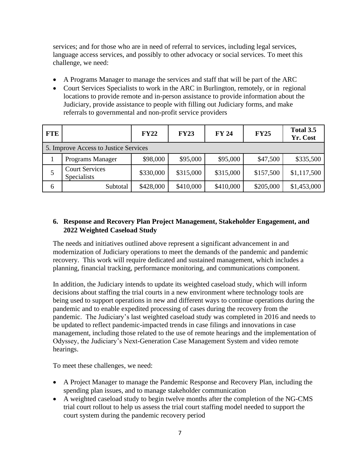services; and for those who are in need of referral to services, including legal services, language access services, and possibly to other advocacy or social services. To meet this challenge, we need:

- A Programs Manager to manage the services and staff that will be part of the ARC
- Court Services Specialists to work in the ARC in Burlington, remotely, or in regional locations to provide remote and in-person assistance to provide information about the Judiciary, provide assistance to people with filling out Judiciary forms, and make referrals to governmental and non-profit service providers

| <b>FTE</b> |                                             | <b>FY22</b> | <b>FY23</b> | <b>FY 24</b> | <b>FY25</b> | Total 3.5<br>Yr. Cost |
|------------|---------------------------------------------|-------------|-------------|--------------|-------------|-----------------------|
|            | 5. Improve Access to Justice Services       |             |             |              |             |                       |
|            | Programs Manager                            | \$98,000    | \$95,000    | \$95,000     | \$47,500    | \$335,500             |
| 5          | <b>Court Services</b><br><b>Specialists</b> | \$330,000   | \$315,000   | \$315,000    | \$157,500   | \$1,117,500           |
| 6          | Subtotal                                    | \$428,000   | \$410,000   | \$410,000    | \$205,000   | \$1,453,000           |

## **6. Response and Recovery Plan Project Management, Stakeholder Engagement, and 2022 Weighted Caseload Study**

The needs and initiatives outlined above represent a significant advancement in and modernization of Judiciary operations to meet the demands of the pandemic and pandemic recovery. This work will require dedicated and sustained management, which includes a planning, financial tracking, performance monitoring, and communications component.

In addition, the Judiciary intends to update its weighted caseload study, which will inform decisions about staffing the trial courts in a new environment where technology tools are being used to support operations in new and different ways to continue operations during the pandemic and to enable expedited processing of cases during the recovery from the pandemic. The Judiciary's last weighted caseload study was completed in 2016 and needs to be updated to reflect pandemic-impacted trends in case filings and innovations in case management, including those related to the use of remote hearings and the implementation of Odyssey, the Judiciary's Next-Generation Case Management System and video remote hearings.

To meet these challenges, we need:

- A Project Manager to manage the Pandemic Response and Recovery Plan, including the spending plan issues, and to manage stakeholder communication
- A weighted caseload study to begin twelve months after the completion of the NG-CMS trial court rollout to help us assess the trial court staffing model needed to support the court system during the pandemic recovery period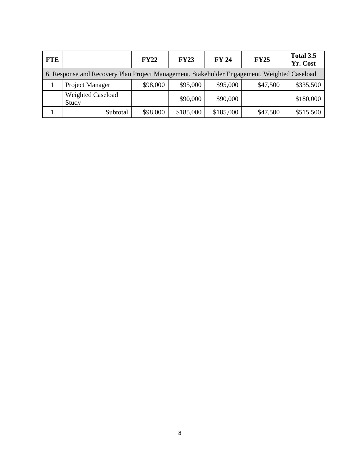| <b>FTE</b>                                                                                  |                                   | FY22     | <b>FY23</b> | <b>FY 24</b> | <b>FY25</b> | Total 3.5<br>Yr. Cost |
|---------------------------------------------------------------------------------------------|-----------------------------------|----------|-------------|--------------|-------------|-----------------------|
| 6. Response and Recovery Plan Project Management, Stakeholder Engagement, Weighted Caseload |                                   |          |             |              |             |                       |
|                                                                                             | Project Manager                   | \$98,000 | \$95,000    | \$95,000     | \$47,500    | \$335,500             |
|                                                                                             | <b>Weighted Caseload</b><br>Study |          | \$90,000    | \$90,000     |             | \$180,000             |
|                                                                                             | Subtotal                          | \$98,000 | \$185,000   | \$185,000    | \$47,500    | \$515,500             |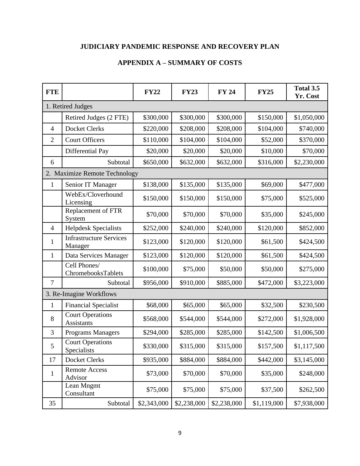# **JUDICIARY PANDEMIC RESPONSE AND RECOVERY PLAN**

# **APPENDIX A – SUMMARY OF COSTS**

| <b>FTE</b>     |                                           | <b>FY22</b> | <b>FY23</b> | <b>FY 24</b> | <b>FY25</b> | Total 3.5<br>Yr. Cost |  |  |
|----------------|-------------------------------------------|-------------|-------------|--------------|-------------|-----------------------|--|--|
|                | 1. Retired Judges                         |             |             |              |             |                       |  |  |
|                | Retired Judges (2 FTE)                    | \$300,000   | \$300,000   | \$300,000    | \$150,000   | \$1,050,000           |  |  |
| $\overline{4}$ | <b>Docket Clerks</b>                      | \$220,000   | \$208,000   | \$208,000    | \$104,000   | \$740,000             |  |  |
| $\overline{2}$ | <b>Court Officers</b>                     | \$110,000   | \$104,000   | \$104,000    | \$52,000    | \$370,000             |  |  |
|                | Differential Pay                          | \$20,000    | \$20,000    | \$20,000     | \$10,000    | \$70,000              |  |  |
| 6              | Subtotal                                  | \$650,000   | \$632,000   | \$632,000    | \$316,000   | \$2,230,000           |  |  |
|                | 2. Maximize Remote Technology             |             |             |              |             |                       |  |  |
| $\mathbf{1}$   | Senior IT Manager                         | \$138,000   | \$135,000   | \$135,000    | \$69,000    | \$477,000             |  |  |
|                | WebEx/Cloverhound<br>Licensing            | \$150,000   | \$150,000   | \$150,000    | \$75,000    | \$525,000             |  |  |
|                | Replacement of FTR<br>System              | \$70,000    | \$70,000    | \$70,000     | \$35,000    | \$245,000             |  |  |
| $\overline{4}$ | <b>Helpdesk Specialists</b>               | \$252,000   | \$240,000   | \$240,000    | \$120,000   | \$852,000             |  |  |
| $\mathbf{1}$   | <b>Infrastructure Services</b><br>Manager | \$123,000   | \$120,000   | \$120,000    | \$61,500    | \$424,500             |  |  |
| $\mathbf{1}$   | Data Services Manager                     | \$123,000   | \$120,000   | \$120,000    | \$61,500    | \$424,500             |  |  |
|                | Cell Phones/<br>ChromebooksTablets        | \$100,000   | \$75,000    | \$50,000     | \$50,000    | \$275,000             |  |  |
| $\overline{7}$ | Subtotal                                  | \$956,000   | \$910,000   | \$885,000    | \$472,000   | \$3,223,000           |  |  |
|                | 3. Re-Imagine Workflows                   |             |             |              |             |                       |  |  |
| 1              | <b>Financial Specialist</b>               | \$68,000    | \$65,000    | \$65,000     | \$32,500    | \$230,500             |  |  |
| 8              | <b>Court Operations</b><br>Assistants     | \$568,000   | \$544,000   | \$544,000    | \$272,000   | \$1,928,000           |  |  |
| 3              | <b>Programs Managers</b>                  | \$294,000   | \$285,000   | \$285,000    | \$142,500   | \$1,006,500           |  |  |
| $\mathfrak s$  | <b>Court Operations</b><br>Specialists    | \$330,000   | \$315,000   | \$315,000    | \$157,500   | \$1,117,500           |  |  |
| 17             | <b>Docket Clerks</b>                      | \$935,000   | \$884,000   | \$884,000    | \$442,000   | \$3,145,000           |  |  |
| $\mathbf{1}$   | <b>Remote Access</b><br>Advisor           | \$73,000    | \$70,000    | \$70,000     | \$35,000    | \$248,000             |  |  |
|                | Lean Mngmt<br>Consultant                  | \$75,000    | \$75,000    | \$75,000     | \$37,500    | \$262,500             |  |  |
| 35             | Subtotal                                  | \$2,343,000 | \$2,238,000 | \$2,238,000  | \$1,119,000 | \$7,938,000           |  |  |